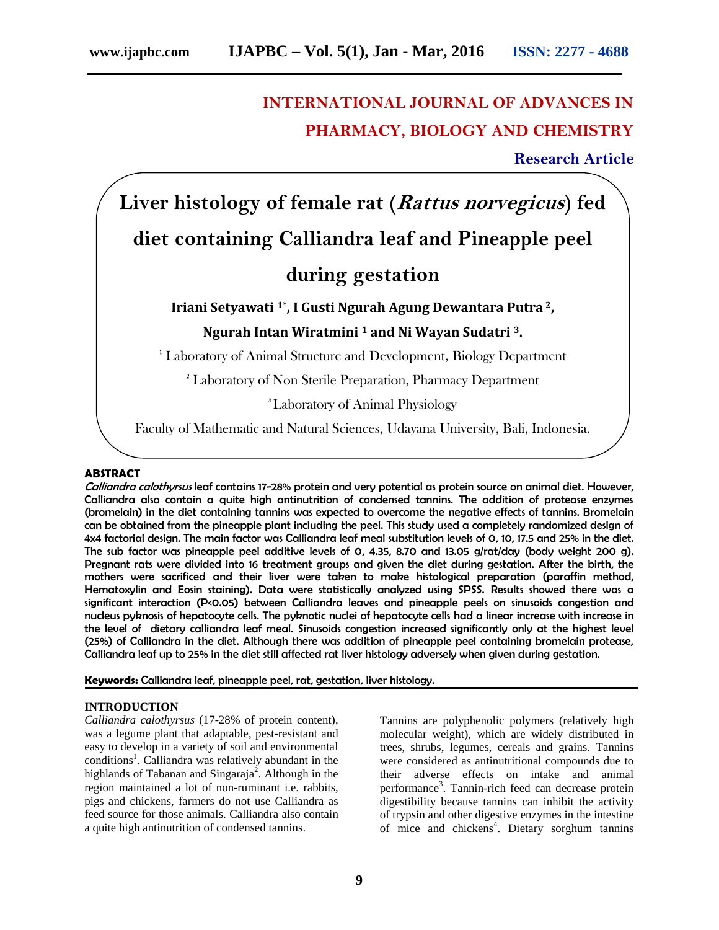# **INTERNATIONAL JOURNAL OF ADVANCES IN PHARMACY, BIOLOGY AND CHEMISTRY**

**Research Article**

**Liver histology of female rat (***Rattus norvegicus***) fed diet containing Calliandra leaf and Pineapple peel**

# **during gestation**

# **Iriani Setyawati 1\* , I Gusti Ngurah Agung Dewantara Putra <sup>2</sup>, Ngurah Intan Wiratmini <sup>1</sup> and Ni Wayan Sudatri <sup>3</sup>.**

**<sup>1</sup>** Laboratory of Animal Structure and Development, Biology Department

**<sup>2</sup>** Laboratory of Non Sterile Preparation, Pharmacy Department

<sup>3</sup>Laboratory of Animal Physiology

Faculty of Mathematic and Natural Sciences, Udayana University, Bali, Indonesia.

## **ABSTRACT**

*Calliandra calothyrsus* leaf contains 17-28% protein and very potential as protein source on animal diet. However, Calliandra also contain a quite high antinutrition of condensed tannins. The addition of protease enzymes (bromelain) in the diet containing tannins was expected to overcome the negative effects of tannins. Bromelain can be obtained from the pineapple plant including the peel. This study used a completely randomized design of 4x4 factorial design. The main factor was Calliandra leaf meal substitution levels of 0, 10, 17.5 and 25% in the diet. The sub factor was pineapple peel additive levels of 0, 4.35, 8.70 and 13.05 g/rat/day (body weight 200 g). Pregnant rats were divided into 16 treatment groups and given the diet during gestation. After the birth, the mothers were sacrificed and their liver were taken to make histological preparation (paraffin method, Hematoxylin and Eosin staining). Data were statistically analyzed using SPSS. Results showed there was a significant interaction (P<0.05) between Calliandra leaves and pineapple peels on sinusoids congestion and nucleus pyknosis of hepatocyte cells. The pyknotic nuclei of hepatocyte cells had a linear increase with increase in the level of dietary calliandra leaf meal. Sinusoids congestion increased significantly only at the highest level (25%) of Calliandra in the diet. Although there was addition of pineapple peel containing bromelain protease, Calliandra leaf up to 25% in the diet still affected rat liver histology adversely when given during gestation.

**Keywords:** Calliandra leaf, pineapple peel, rat, gestation, liver histology.

#### **INTRODUCTION**

*Calliandra calothyrsus* (17-28% of protein content), was a legume plant that adaptable, pest-resistant and easy to develop in a variety of soil and environmental conditions<sup>1</sup>. Calliandra was relatively abundant in the highlands of Tabanan and Singaraja<sup>2</sup>. Although in the region maintained a lot of non-ruminant i.e. rabbits, pigs and chickens, farmers do not use Calliandra as feed source for those animals. Calliandra also contain a quite high antinutrition of condensed tannins.

Tannins are polyphenolic polymers (relatively high molecular weight), which are widely distributed in trees, shrubs, legumes, cereals and grains. Tannins were considered as antinutritional compounds due to their adverse effects on intake and animal performance<sup>3</sup>. Tannin-rich feed can decrease protein digestibility because tannins can inhibit the activity of trypsin and other digestive enzymes in the intestine of mice and chickens<sup>4</sup>. Dietary sorghum tannins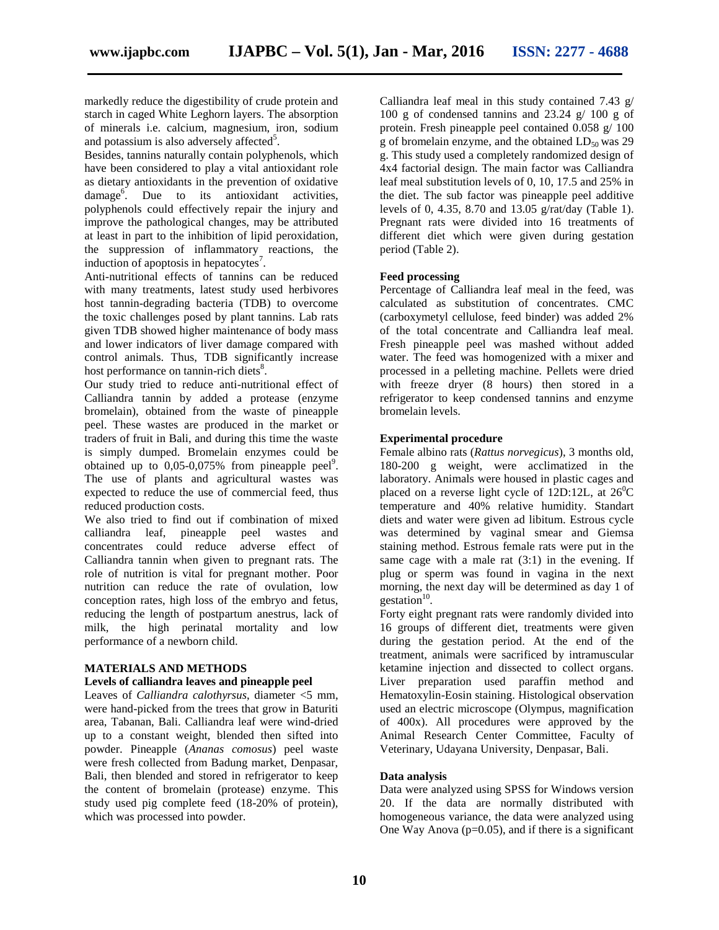markedly reduce the digestibility of crude protein and starch in caged White Leghorn layers. The absorption of minerals i.e. calcium, magnesium, iron, sodium and potassium is also adversely affected<sup>5</sup>.

Besides, tannins naturally contain polyphenols, which have been considered to play a vital antioxidant role as dietary antioxidants in the prevention of oxidative damage<sup>6</sup>. Due to its antioxidant activities, polyphenols could effectively repair the injury and improve the pathological changes, may be attributed at least in part to the inhibition of lipid peroxidation, the suppression of inflammatory reactions, the induction of apoptosis in hepatocytes<sup>7</sup>.

Anti-nutritional effects of tannins can be reduced with many treatments, latest study used herbivores host tannin-degrading bacteria (TDB) to overcome the toxic challenges posed by plant tannins. Lab rats given TDB showed higher maintenance of body mass and lower indicators of liver damage compared with control animals. Thus, TDB significantly increase host performance on tannin-rich diets<sup>8</sup>.

Our study tried to reduce anti-nutritional effect of Calliandra tannin by added a protease (enzyme bromelain), obtained from the waste of pineapple peel. These wastes are produced in the market or traders of fruit in Bali, and during this time the waste is simply dumped. Bromelain enzymes could be obtained up to  $0.05{\text -}0.075\%$  from pineapple peel<sup>9</sup>. The use of plants and agricultural wastes was expected to reduce the use of commercial feed, thus reduced production costs.

We also tried to find out if combination of mixed calliandra leaf, pineapple peel wastes and concentrates could reduce adverse effect of Calliandra tannin when given to pregnant rats. The role of nutrition is vital for pregnant mother. Poor nutrition can reduce the rate of ovulation, low conception rates, high loss of the embryo and fetus, reducing the length of postpartum anestrus, lack of milk, the high perinatal mortality and low performance of a newborn child.

#### **MATERIALS AND METHODS**

#### **Levels of calliandra leaves and pineapple peel**

Leaves of *Calliandra calothyrsus*, diameter <5 mm, were hand-picked from the trees that grow in Baturiti area, Tabanan, Bali. Calliandra leaf were wind-dried up to a constant weight, blended then sifted into powder. Pineapple (*Ananas comosus*) peel waste were fresh collected from Badung market, Denpasar, Bali, then blended and stored in refrigerator to keep the content of bromelain (protease) enzyme. This study used pig complete feed (18-20% of protein), which was processed into powder.

Calliandra leaf meal in this study contained 7.43 g/ 100 g of condensed tannins and 23.24 g/ 100 g of protein. Fresh pineapple peel contained 0.058 g/ 100 g of bromelain enzyme, and the obtained  $LD_{50}$  was 29 g. This study used a completely randomized design of 4x4 factorial design. The main factor was Calliandra leaf meal substitution levels of 0, 10, 17.5 and 25% in the diet. The sub factor was pineapple peel additive levels of 0, 4.35, 8.70 and 13.05 g/rat/day (Table 1). Pregnant rats were divided into 16 treatments of different diet which were given during gestation period (Table 2).

#### **Feed processing**

Percentage of Calliandra leaf meal in the feed, was calculated as substitution of concentrates. CMC (carboxymetyl cellulose, feed binder) was added 2% of the total concentrate and Calliandra leaf meal. Fresh pineapple peel was mashed without added water. The feed was homogenized with a mixer and processed in a pelleting machine. Pellets were dried with freeze dryer (8 hours) then stored in a refrigerator to keep condensed tannins and enzyme bromelain levels.

#### **Experimental procedure**

Female albino rats (*Rattus norvegicus*), 3 months old, 180-200 g weight, were acclimatized in the laboratory. Animals were housed in plastic cages and placed on a reverse light cycle of 12D:12L, at  $26^{\circ}$ C temperature and 40% relative humidity. Standart diets and water were given ad libitum. Estrous cycle was determined by vaginal smear and Giemsa staining method. Estrous female rats were put in the same cage with a male rat (3:1) in the evening. If plug or sperm was found in vagina in the next morning, the next day will be determined as day 1 of gestation $10$ .

Forty eight pregnant rats were randomly divided into 16 groups of different diet, treatments were given during the gestation period. At the end of the treatment, animals were sacrificed by intramuscular ketamine injection and dissected to collect organs. Liver preparation used paraffin method and Hematoxylin-Eosin staining. Histological observation used an electric microscope (Olympus, magnification of 400x). All procedures were approved by the Animal Research Center Committee, Faculty of Veterinary, Udayana University, Denpasar, Bali.

## **Data analysis**

Data were analyzed using SPSS for Windows version 20. If the data are normally distributed with homogeneous variance, the data were analyzed using One Way Anova ( $p=0.05$ ), and if there is a significant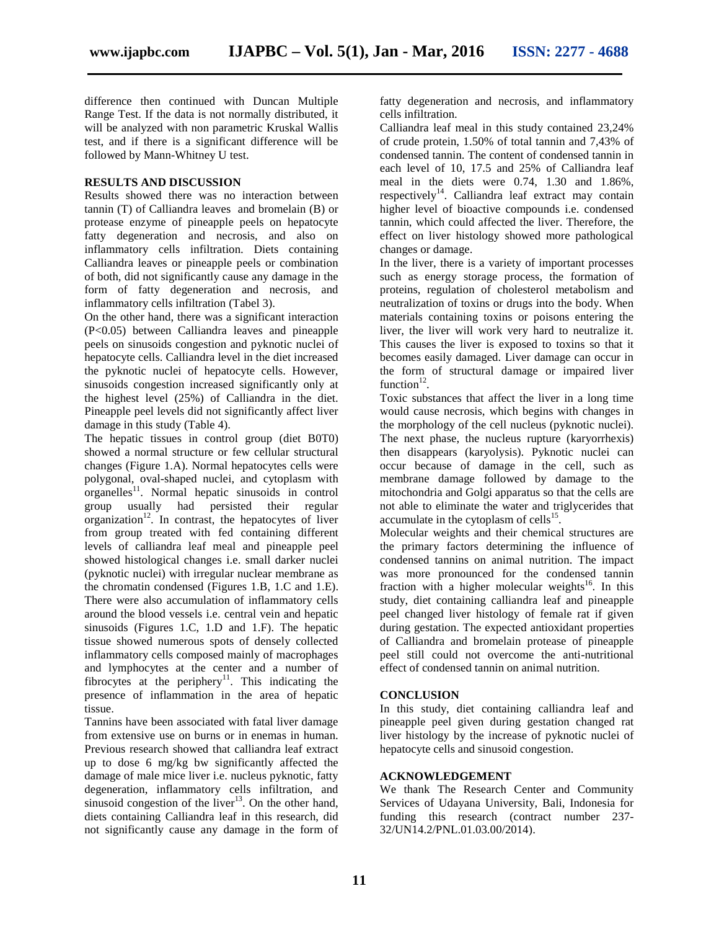difference then continued with Duncan Multiple Range Test. If the data is not normally distributed, it will be analyzed with non parametric Kruskal Wallis test, and if there is a significant difference will be followed by Mann-Whitney U test.

# **RESULTS AND DISCUSSION**

Results showed there was no interaction between tannin (T) of Calliandra leaves and bromelain (B) or protease enzyme of pineapple peels on hepatocyte fatty degeneration and necrosis, and also on inflammatory cells infiltration. Diets containing Calliandra leaves or pineapple peels or combination of both, did not significantly cause any damage in the form of fatty degeneration and necrosis, and inflammatory cells infiltration (Tabel 3).

On the other hand, there was a significant interaction (P<0.05) between Calliandra leaves and pineapple peels on sinusoids congestion and pyknotic nuclei of hepatocyte cells. Calliandra level in the diet increased the pyknotic nuclei of hepatocyte cells. However, sinusoids congestion increased significantly only at the highest level (25%) of Calliandra in the diet. Pineapple peel levels did not significantly affect liver damage in this study (Table 4).

The hepatic tissues in control group (diet B0T0) showed a normal structure or few cellular structural changes (Figure 1.A). Normal hepatocytes cells were polygonal, oval-shaped nuclei, and cytoplasm with organelles<sup>11</sup>. Normal hepatic sinusoids in control group usually had persisted their regular  $organization<sup>12</sup>$ . In contrast, the hepatocytes of liver from group treated with fed containing different levels of calliandra leaf meal and pineapple peel showed histological changes i.e. small darker nuclei (pyknotic nuclei) with irregular nuclear membrane as the chromatin condensed (Figures 1.B, 1.C and 1.E). There were also accumulation of inflammatory cells around the blood vessels i.e. central vein and hepatic sinusoids (Figures 1.C, 1.D and 1.F). The hepatic tissue showed numerous spots of densely collected inflammatory cells composed mainly of macrophages and lymphocytes at the center and a number of fibrocytes at the periphery<sup>11</sup>. This indicating the presence of inflammation in the area of hepatic tissue.

Tannins have been associated with fatal liver damage from extensive use on burns or in enemas in human. Previous research showed that calliandra leaf extract up to dose 6 mg/kg bw significantly affected the damage of male mice liver i.e. nucleus pyknotic, fatty degeneration, inflammatory cells infiltration, and sinusoid congestion of the liver<sup>13</sup>. On the other hand, diets containing Calliandra leaf in this research, did not significantly cause any damage in the form of

fatty degeneration and necrosis, and inflammatory cells infiltration.

Calliandra leaf meal in this study contained 23,24% of crude protein, 1.50% of total tannin and 7,43% of condensed tannin. The content of condensed tannin in each level of 10, 17.5 and 25% of Calliandra leaf meal in the diets were 0.74, 1.30 and 1.86%, respectively<sup>14</sup>. Calliandra leaf extract may contain higher level of bioactive compounds i.e. condensed tannin, which could affected the liver. Therefore, the effect on liver histology showed more pathological changes or damage.

In the liver, there is a variety of important processes such as energy storage process, the formation of proteins, regulation of cholesterol metabolism and neutralization of toxins or drugs into the body. When materials containing toxins or poisons entering the liver, the liver will work very hard to neutralize it. This causes the liver is exposed to toxins so that it becomes easily damaged. Liver damage can occur in the form of structural damage or impaired liver function $^{12}$ .

Toxic substances that affect the liver in a long time would cause necrosis, which begins with changes in the morphology of the cell nucleus (pyknotic nuclei). The next phase, the nucleus rupture (karyorrhexis) then disappears (karyolysis). Pyknotic nuclei can occur because of damage in the cell, such as membrane damage followed by damage to the mitochondria and Golgi apparatus so that the cells are not able to eliminate the water and triglycerides that  $\alpha$  accumulate in the cytoplasm of cells<sup>15</sup>.

Molecular weights and their chemical structures are the primary factors determining the influence of condensed tannins on animal nutrition. The impact was more pronounced for the condensed tannin fraction with a higher molecular weights<sup>16</sup>. In this study, diet containing calliandra leaf and pineapple peel changed liver histology of female rat if given during gestation. The expected antioxidant properties of Calliandra and bromelain protease of pineapple peel still could not overcome the anti-nutritional effect of condensed tannin on animal nutrition.

#### **CONCLUSION**

In this study, diet containing calliandra leaf and pineapple peel given during gestation changed rat liver histology by the increase of pyknotic nuclei of hepatocyte cells and sinusoid congestion.

#### **ACKNOWLEDGEMENT**

We thank The Research Center and Community Services of Udayana University, Bali, Indonesia for funding this research (contract number 237- 32/UN14.2/PNL.01.03.00/2014).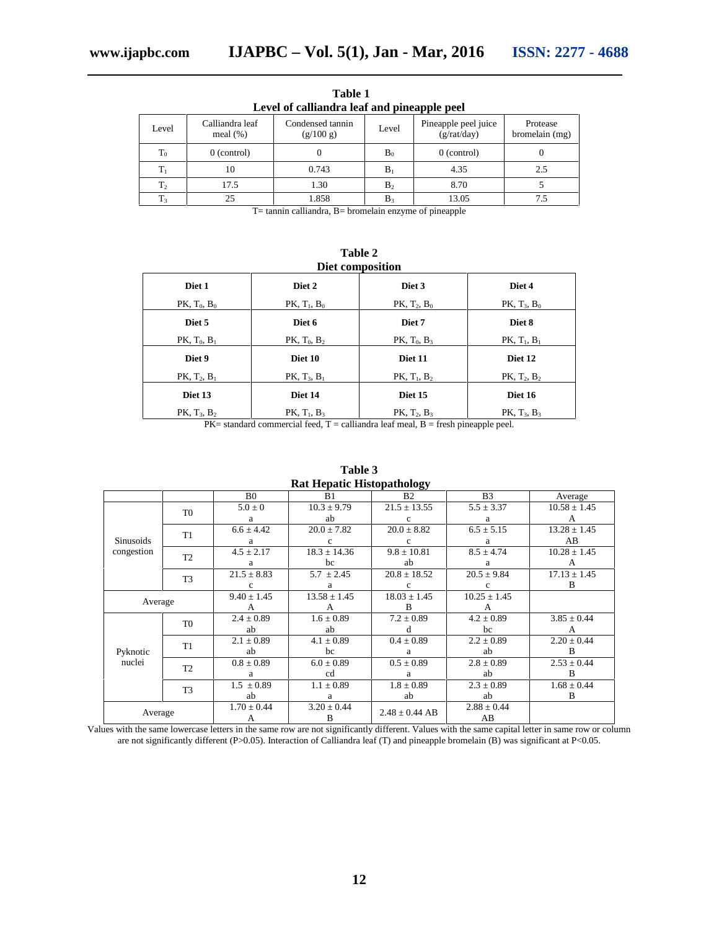| Calliandra leaf<br>meal $(\%)$ | Condensed tannin<br>(g/100 g) | Level          | Pineapple peel juice<br>(g/rat/day) | Protease<br>bromelain (mg) |
|--------------------------------|-------------------------------|----------------|-------------------------------------|----------------------------|
| $0$ (control)                  |                               | B <sub>0</sub> | $0$ (control)                       | U                          |
| 10                             | 0.743                         | $B_1$          | 4.35                                | 2.5                        |
| 17.5                           | 1.30                          | B <sub>2</sub> | 8.70                                |                            |
| 25                             | 1.858                         | B٩             | 13.05                               | 7.5                        |
|                                | $\sim$                        | .              | . .                                 | $\sim$ $\sim$              |

**Table 1 Level of calliandra leaf and pineapple peel**

T= tannin calliandra, B= bromelain enzyme of pineapple

**Table 2 Diet composition**

| рил сошрознош                                               |                   |                   |                   |  |
|-------------------------------------------------------------|-------------------|-------------------|-------------------|--|
| Diet 1                                                      | Diet 2            | Diet 3            | Diet 4            |  |
| PK, $T_0$ , $B_0$                                           | $PK, T_1, B_0$    | $PK, T_2, B_0$    | PK, $T_3$ , $B_0$ |  |
| Diet 5                                                      | Diet 6            | Diet 7            | Diet 8            |  |
| PK, $T_0$ , $B_1$                                           | PK, $T_0$ , $B_2$ | PK, $T_0$ , $B_3$ | $PK, T_1, B_1$    |  |
| Diet 9                                                      | Diet 10           | Diet 11           | Diet 12           |  |
| $PK, T_2, B_1$                                              | $PK, T_3, B_1$    | PK, $T_1$ , $B_2$ | $PK, T_2, B_2$    |  |
| Diet 13                                                     | Diet 14           | Diet 15           | Diet 16           |  |
| $PK, T_3, B_2$                                              | PK, $T_1$ , $B_3$ | $PK, T_2, B_3$    | PK, $T_3$ , $B_3$ |  |
| $\cdots$ $\cdots$ $\cdots$<br>$\cdots$<br>$- - -$<br>$\sim$ |                   |                   |                   |  |

 $PK=$  standard commercial feed,  $T =$  calliandra leaf meal,  $B =$  fresh pineapple peel.

|                                | Kat Hepatit Histopathology |                 |                  |                    |                  |                  |
|--------------------------------|----------------------------|-----------------|------------------|--------------------|------------------|------------------|
|                                |                            | B <sub>0</sub>  | B1               | B <sub>2</sub>     | B <sub>3</sub>   | Average          |
| <b>Sinusoids</b><br>congestion | T <sub>0</sub>             | $5.0 \pm 0$     | $10.3 \pm 9.79$  | $21.5 \pm 13.55$   | $5.5 \pm 3.37$   | $10.58 \pm 1.45$ |
|                                |                            | a               | ab               | c                  | a                | А                |
|                                | T1                         | $6.6 \pm 4.42$  | $20.0 \pm 7.82$  | $20.0 \pm 8.82$    | $6.5 \pm 5.15$   | $13.28 \pm 1.45$ |
|                                |                            | a               | $\mathbf c$      | c                  | a                | AB               |
|                                | T <sub>2</sub>             | $4.5 \pm 2.17$  | $18.3 \pm 14.36$ | $9.8 \pm 10.81$    | $8.5 \pm 4.74$   | $10.28 \pm 1.45$ |
|                                |                            | a               | bc               | ab                 | a                | А                |
|                                | T <sub>3</sub>             | $21.5 \pm 8.83$ | $5.7 \pm 2.45$   | $20.8 \pm 18.52$   | $20.5 \pm 9.84$  | $17.13 \pm 1.45$ |
|                                |                            |                 | a                | c                  | c                | B                |
| Average                        |                            | $9.40 \pm 1.45$ | $13.58 \pm 1.45$ | $18.03 \pm 1.45$   | $10.25 \pm 1.45$ |                  |
|                                |                            | А               | А                | B                  | А                |                  |
| Pyknotic<br>nuclei             | T <sub>0</sub>             | $2.4 \pm 0.89$  | $1.6 \pm 0.89$   | $7.2 \pm 0.89$     | $4.2 \pm 0.89$   | $3.85 \pm 0.44$  |
|                                |                            | ab              | ab               | đ                  | bc               | А                |
|                                | T <sub>1</sub>             | $2.1 \pm 0.89$  | $4.1 \pm 0.89$   | $0.4 \pm 0.89$     | $2.2 \pm 0.89$   | $2.20 \pm 0.44$  |
|                                |                            | ab              | bc               | a                  | ab               | B                |
|                                | T <sub>2</sub>             | $0.8 \pm 0.89$  | $6.0 \pm 0.89$   | $0.5 \pm 0.89$     | $2.8 \pm 0.89$   | $2.53 \pm 0.44$  |
|                                |                            | a               | cd               | a                  | ab               | B                |
|                                | T <sub>3</sub>             | $1.5 \pm 0.89$  | $1.1 \pm 0.89$   | $1.8 \pm 0.89$     | $2.3 \pm 0.89$   | $1.68 \pm 0.44$  |
|                                |                            | ab              | a                | ab                 | ab               | B                |
| Average                        |                            | $1.70 \pm 0.44$ | $3.20 \pm 0.44$  | $2.48 \pm 0.44$ AB | $2.88 \pm 0.44$  |                  |
|                                |                            | А               | B                |                    | AB               |                  |

**Table 3 Rat Hepatic Histopathology**

Values with the same lowercase letters in the same row are not significantly different. Values with the same capital letter in same row or column are not significantly different (P>0.05). Interaction of Calliandra leaf (T) and pineapple bromelain (B) was significant at P<0.05.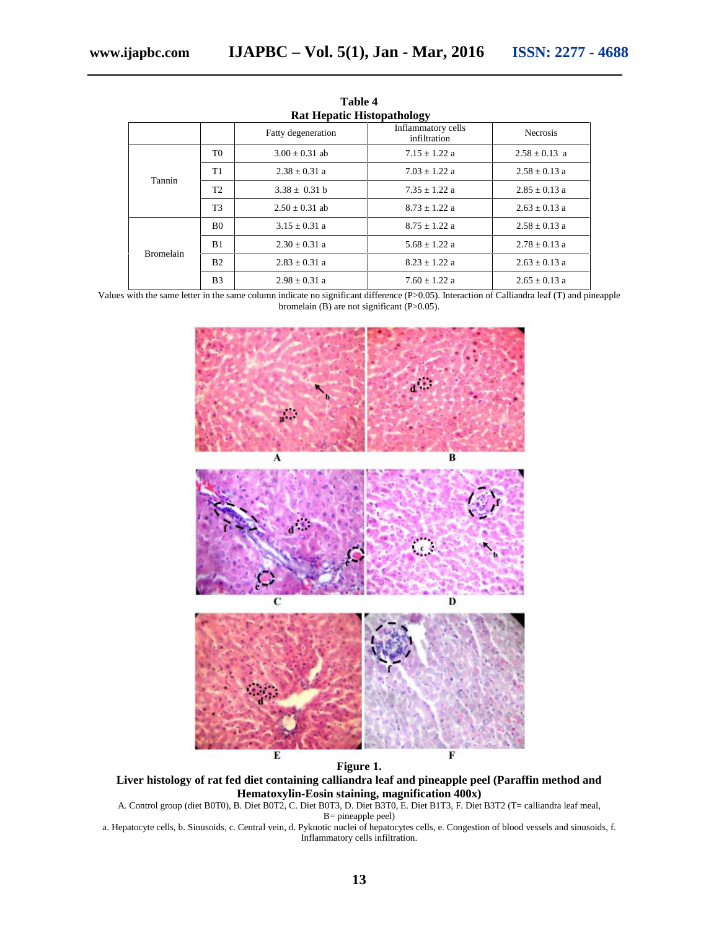| <b>Rat Hepatic Histopathology</b> |                |                    |                                    |                   |  |
|-----------------------------------|----------------|--------------------|------------------------------------|-------------------|--|
|                                   |                | Fatty degeneration | Inflammatory cells<br>infiltration | <b>Necrosis</b>   |  |
| Tannin                            | T0             | $3.00 \pm 0.31$ ab | $7.15 \pm 1.22$ a                  | $2.58 \pm 0.13$ a |  |
|                                   | T1             | $2.38 \pm 0.31$ a  | $7.03 \pm 1.22$ a                  | $2.58 \pm 0.13$ a |  |
|                                   | T <sub>2</sub> | $3.38 + 0.31 h$    | $7.35 + 1.22$ a                    | $2.85 \pm 0.13$ a |  |
|                                   | T <sub>3</sub> | $2.50 + 0.31$ ab   | $8.73 + 1.22$ a                    | $2.63 \pm 0.13$ a |  |
| <b>Bromelain</b>                  | B <sub>0</sub> | $3.15 \pm 0.31$ a  | $8.75 \pm 1.22$ a                  | $2.58 \pm 0.13$ a |  |
|                                   | B <sub>1</sub> | $2.30 \pm 0.31$ a  | $5.68 \pm 1.22$ a                  | $2.78 \pm 0.13$ a |  |
|                                   | B <sub>2</sub> | $2.83 \pm 0.31$ a  | $8.23 + 1.22$ a                    | $2.63 \pm 0.13$ a |  |
|                                   | B <sub>3</sub> | $2.98 + 0.31$ a    | $7.60 + 1.22$ a                    | $2.65 \pm 0.13$ a |  |

**Table 4**

Values with the same letter in the same column indicate no significant difference (P>0.05). Interaction of Calliandra leaf (T) and pineapple bromelain  $(B)$  are not significant  $(P>0.05)$ .



**Figure 1.**

**Liver histology of rat fed diet containing calliandra leaf and pineapple peel (Paraffin method and Hematoxylin-Eosin staining, magnification 400x)**

A. Control group (diet B0T0), B. Diet B0T2, C. Diet B0T3, D. Diet B3T0, E. Diet B1T3, F. Diet B3T2 (T= calliandra leaf meal, B= pineapple peel)

a. Hepatocyte cells, b. Sinusoids, c. Central vein, d. Pyknotic nuclei of hepatocytes cells, e. Congestion of blood vessels and sinusoids, f. Inflammatory cells infiltration.